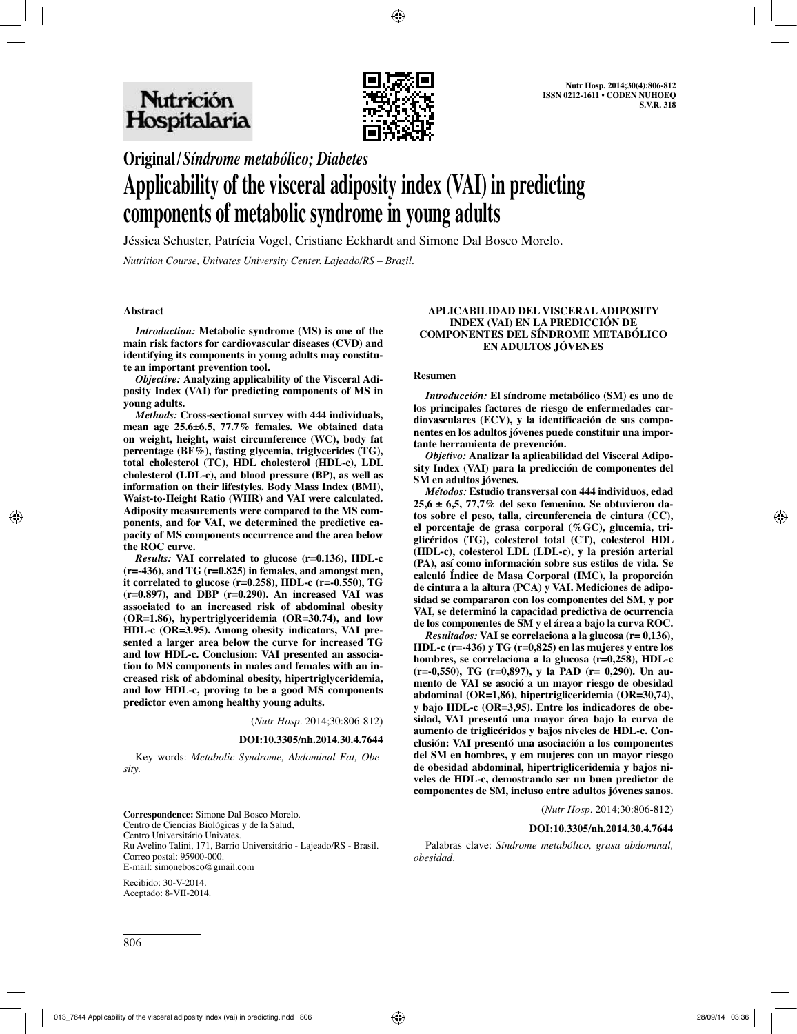

**Original/***Síndrome metabólico; Diabetes*

# **Applicability of the visceral adiposity index (VAI) in predicting components of metabolic syndrome in young adults**

Jéssica Schuster, Patrícia Vogel, Cristiane Eckhardt and Simone Dal Bosco Morelo.

*Nutrition Course, Univates University Center. Lajeado/RS – Brazil.*

## **Abstract**

*Introduction:* **Metabolic syndrome (MS) is one of the main risk factors for cardiovascular diseases (CVD) and identifying its components in young adults may constitute an important prevention tool.**

*Objective:* **Analyzing applicability of the Visceral Adiposity Index (VAI) for predicting components of MS in young adults.**

*Methods:* **Cross-sectional survey with 444 individuals, mean age 25.6±6.5, 77.7% females. We obtained data on weight, height, waist circumference (WC), body fat percentage (BF%), fasting glycemia, triglycerides (TG), total cholesterol (TC), HDL cholesterol (HDL-c), LDL cholesterol (LDL-c), and blood pressure (BP), as well as information on their lifestyles. Body Mass Index (BMI), Waist-to-Height Ratio (WHR) and VAI were calculated. Adiposity measurements were compared to the MS components, and for VAI, we determined the predictive capacity of MS components occurrence and the area below the ROC curve.**

*Results:* **VAI correlated to glucose (r=0.136), HDL-c (r=-436), and TG (r=0.825) in females, and amongst men, it correlated to glucose (r=0.258), HDL-c (r=-0.550), TG (r=0.897), and DBP (r=0.290). An increased VAI was associated to an increased risk of abdominal obesity (OR=1.86), hypertriglyceridemia (OR=30.74), and low HDL-c (OR=3.95). Among obesity indicators, VAI presented a larger area below the curve for increased TG and low HDL-c. Conclusion: VAI presented an association to MS components in males and females with an increased risk of abdominal obesity, hipertriglyceridemia, and low HDL-c, proving to be a good MS components predictor even among healthy young adults.**

(*Nutr Hosp.* 2014;30:806-812)

**DOI:10.3305/nh.2014.30.4.7644**

Key words: *Metabolic Syndrome, Abdominal Fat, Obesity.*

**Correspondence:** Simone Dal Bosco Morelo. Centro de Ciencias Biológicas y de la Salud, Centro Universitário Univates. Ru Avelino Talini, 171, Barrio Universitário - Lajeado/RS - Brasil. Correo postal: 95900-000. E-mail: simonebosco@gmail.com

Recibido: 30-V-2014. Aceptado: 8-VII-2014.

#### **APLICABILIDAD DEL VISCERAL ADIPOSITY INDEX (VAI) EN LA PREDICCIÓN DE COMPONENTES DEL SÍNDROME METABÓLICO EN ADULTOS JÓVENES**

#### **Resumen**

*Introducción:* **El síndrome metabólico (SM) es uno de los principales factores de riesgo de enfermedades cardiovasculares (ECV), y la identificación de sus componentes en los adultos jóvenes puede constituir una importante herramienta de prevención.**

*Objetivo:* **Analizar la aplicabilidad del Visceral Adiposity Index (VAI) para la predicción de componentes del SM en adultos jóvenes.**

*Métodos:* **Estudio transversal con 444 individuos, edad 25,6 ± 6,5, 77,7% del sexo femenino. Se obtuvieron datos sobre el peso, talla, circunferencia de cintura (CC), el porcentaje de grasa corporal (%GC), glucemia, triglicéridos (TG), colesterol total (CT), colesterol HDL (HDL-c), colesterol LDL (LDL-c), y la presión arterial (PA), así como información sobre sus estilos de vida. Se calculó Índice de Masa Corporal (IMC), la proporción de cintura a la altura (PCA) y VAI. Mediciones de adiposidad se compararon con los componentes del SM, y por VAI, se determinó la capacidad predictiva de ocurrencia de los componentes de SM y el área a bajo la curva ROC.**

*Resultados:* **VAI se correlaciona a la glucosa (r= 0,136), HDL-c (r=-436) y TG (r=0,825) en las mujeres y entre los hombres, se correlaciona a la glucosa (r=0,258), HDL-c (r=-0,550), TG (r=0,897), y la PAD (r= 0,290). Un aumento de VAI se asoció a un mayor riesgo de obesidad abdominal (OR=1,86), hipertrigliceridemia (OR=30,74), y bajo HDL-c (OR=3,95). Entre los indicadores de obesidad, VAI presentó una mayor área bajo la curva de aumento de triglicéridos y bajos niveles de HDL-c. Conclusión: VAI presentó una asociación a los componentes del SM en hombres, y em mujeres con un mayor riesgo de obesidad abdominal, hipertrigliceridemia y bajos niveles de HDL-c, demostrando ser un buen predictor de componentes de SM, incluso entre adultos jóvenes sanos.**

(*Nutr Hosp.* 2014;30:806-812)

#### **DOI:10.3305/nh.2014.30.4.7644**

Palabras clave: *Síndrome metabólico, grasa abdominal, obesidad.*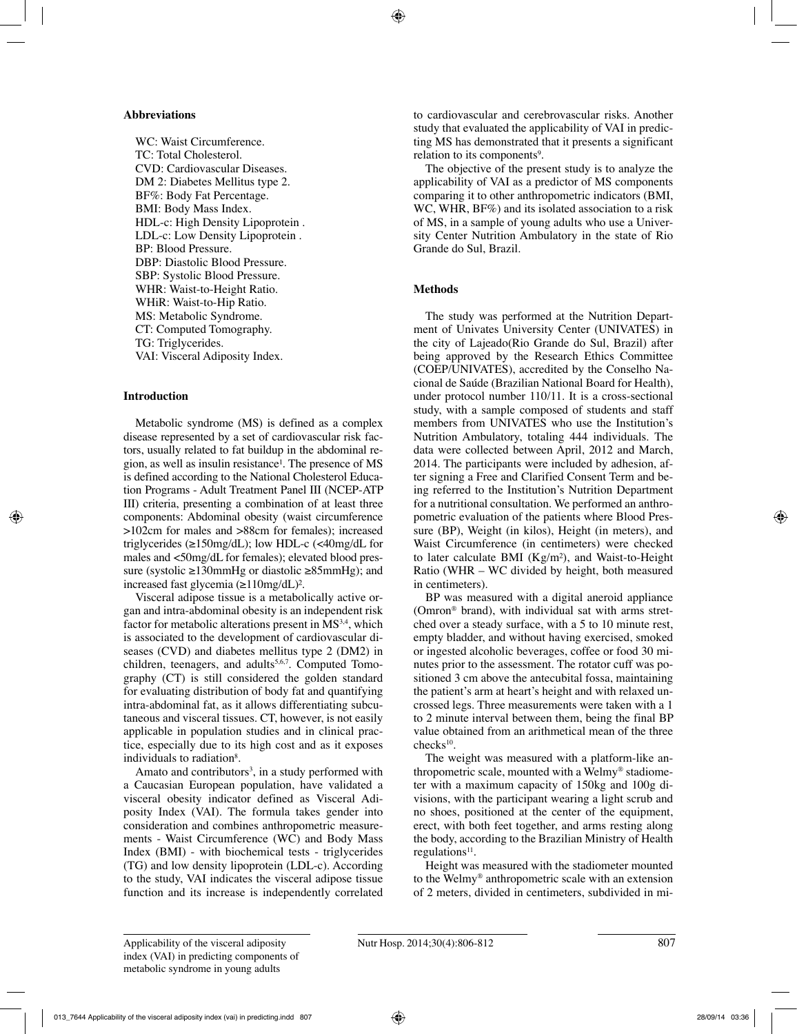## **Abbreviations**

WC: Waist Circumference. TC: Total Cholesterol. CVD: Cardiovascular Diseases. DM 2: Diabetes Mellitus type 2. BF%: Body Fat Percentage. BMI: Body Mass Index. HDL-c: High Density Lipoprotein . LDL-c: Low Density Lipoprotein . BP: Blood Pressure. DBP: Diastolic Blood Pressure. SBP: Systolic Blood Pressure. WHR: Waist-to-Height Ratio. WHiR: Waist-to-Hip Ratio. MS: Metabolic Syndrome. CT: Computed Tomography. TG: Triglycerides. VAI: Visceral Adiposity Index.

# **Introduction**

Metabolic syndrome (MS) is defined as a complex disease represented by a set of cardiovascular risk factors, usually related to fat buildup in the abdominal region, as well as insulin resistance<sup>1</sup>. The presence of MS is defined according to the National Cholesterol Education Programs - Adult Treatment Panel III (NCEP-ATP III) criteria, presenting a combination of at least three components: Abdominal obesity (waist circumference >102cm for males and >88cm for females); increased triglycerides (≥150mg/dL); low HDL-c (<40mg/dL for males and <50mg/dL for females); elevated blood pressure (systolic ≥130mmHg or diastolic ≥85mmHg); and increased fast glycemia (≥110mg/dL)².

Visceral adipose tissue is a metabolically active organ and intra-abdominal obesity is an independent risk factor for metabolic alterations present in  $\overline{MS}^{3,4}$ , which is associated to the development of cardiovascular diseases (CVD) and diabetes mellitus type 2 (DM2) in children, teenagers, and adults $5,6,7$ . Computed Tomography (CT) is still considered the golden standard for evaluating distribution of body fat and quantifying intra-abdominal fat, as it allows differentiating subcutaneous and visceral tissues. CT, however, is not easily applicable in population studies and in clinical practice, especially due to its high cost and as it exposes individuals to radiation<sup>8</sup>.

Amato and contributors<sup>3</sup>, in a study performed with a Caucasian European population, have validated a visceral obesity indicator defined as Visceral Adiposity Index (VAI). The formula takes gender into consideration and combines anthropometric measurements - Waist Circumference (WC) and Body Mass Index (BMI) - with biochemical tests - triglycerides (TG) and low density lipoprotein (LDL-c). According to the study, VAI indicates the visceral adipose tissue function and its increase is independently correlated

to cardiovascular and cerebrovascular risks. Another study that evaluated the applicability of VAI in predicting MS has demonstrated that it presents a significant relation to its components<sup>9</sup>.

The objective of the present study is to analyze the applicability of VAI as a predictor of MS components comparing it to other anthropometric indicators (BMI, WC, WHR, BF%) and its isolated association to a risk of MS, in a sample of young adults who use a University Center Nutrition Ambulatory in the state of Rio Grande do Sul, Brazil.

# **Methods**

The study was performed at the Nutrition Department of Univates University Center (UNIVATES) in the city of Lajeado(Rio Grande do Sul, Brazil) after being approved by the Research Ethics Committee (COEP/UNIVATES), accredited by the Conselho Nacional de Saúde (Brazilian National Board for Health), under protocol number 110/11. It is a cross-sectional study, with a sample composed of students and staff members from UNIVATES who use the Institution's Nutrition Ambulatory, totaling 444 individuals. The data were collected between April, 2012 and March, 2014. The participants were included by adhesion, after signing a Free and Clarified Consent Term and being referred to the Institution's Nutrition Department for a nutritional consultation. We performed an anthropometric evaluation of the patients where Blood Pressure (BP), Weight (in kilos), Height (in meters), and Waist Circumference (in centimeters) were checked to later calculate BMI (Kg/m²), and Waist-to-Height Ratio (WHR – WC divided by height, both measured in centimeters).

BP was measured with a digital aneroid appliance (Omron® brand), with individual sat with arms stretched over a steady surface, with a 5 to 10 minute rest, empty bladder, and without having exercised, smoked or ingested alcoholic beverages, coffee or food 30 minutes prior to the assessment. The rotator cuff was positioned 3 cm above the antecubital fossa, maintaining the patient's arm at heart's height and with relaxed uncrossed legs. Three measurements were taken with a 1 to 2 minute interval between them, being the final BP value obtained from an arithmetical mean of the three checks10.

The weight was measured with a platform-like anthropometric scale, mounted with a Welmy® stadiometer with a maximum capacity of 150kg and 100g divisions, with the participant wearing a light scrub and no shoes, positioned at the center of the equipment, erect, with both feet together, and arms resting along the body, according to the Brazilian Ministry of Health  $regulations<sup>11</sup>$ .

Height was measured with the stadiometer mounted to the Welmy® anthropometric scale with an extension of 2 meters, divided in centimeters, subdivided in mi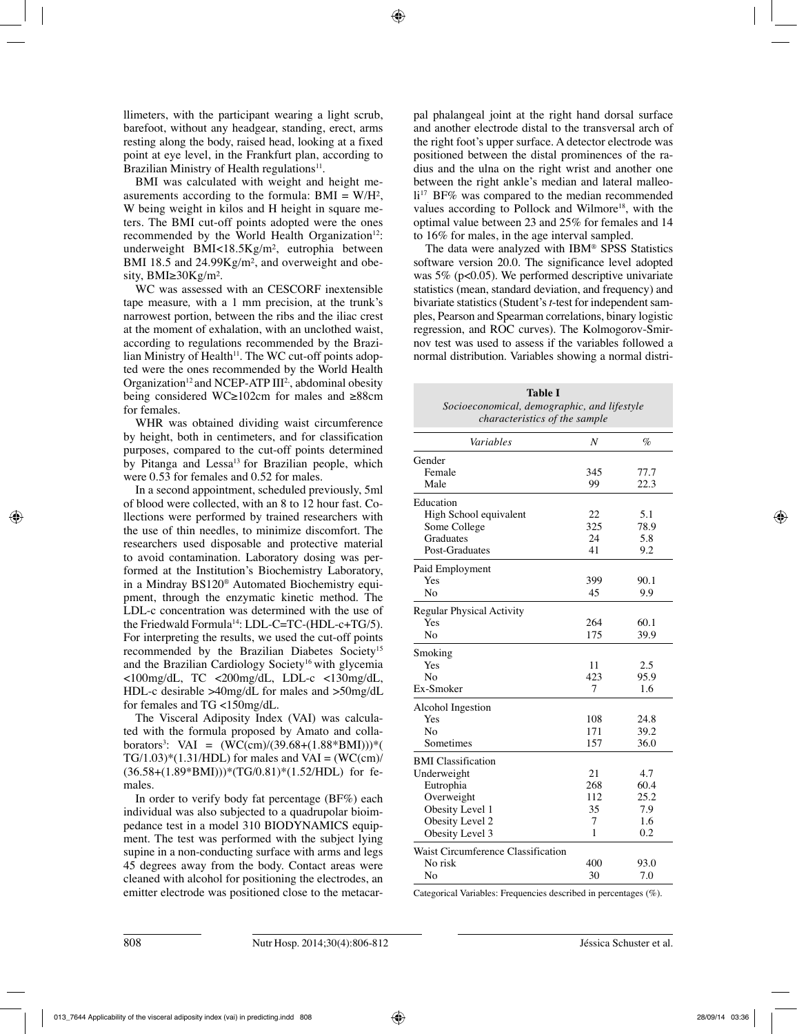llimeters, with the participant wearing a light scrub, barefoot, without any headgear, standing, erect, arms resting along the body, raised head, looking at a fixed point at eye level, in the Frankfurt plan, according to Brazilian Ministry of Health regulations<sup>11</sup>.

BMI was calculated with weight and height measurements according to the formula:  $BMI = W/H^2$ , W being weight in kilos and H height in square meters. The BMI cut-off points adopted were the ones recommended by the World Health Organization $12$ : underweight BMI<18.5Kg/m², eutrophia between BMI 18.5 and 24.99Kg/m<sup>2</sup>, and overweight and obesity, BMI≥30Kg/m².

WC was assessed with an CESCORF inextensible tape measure*,* with a 1 mm precision, at the trunk's narrowest portion, between the ribs and the iliac crest at the moment of exhalation, with an unclothed waist, according to regulations recommended by the Brazilian Ministry of Health $11$ . The WC cut-off points adopted were the ones recommended by the World Health Organization<sup>12</sup> and NCEP-ATP  $III<sup>2</sup>$ , abdominal obesity being considered WC≥102cm for males and ≥88cm for females.

WHR was obtained dividing waist circumference by height, both in centimeters, and for classification purposes, compared to the cut-off points determined by Pitanga and Lessa<sup>13</sup> for Brazilian people, which were 0.53 for females and 0.52 for males.

In a second appointment, scheduled previously, 5ml of blood were collected, with an 8 to 12 hour fast. Collections were performed by trained researchers with the use of thin needles, to minimize discomfort. The researchers used disposable and protective material to avoid contamination. Laboratory dosing was performed at the Institution's Biochemistry Laboratory, in a Mindray BS120® Automated Biochemistry equipment, through the enzymatic kinetic method. The LDL-c concentration was determined with the use of the Friedwald Formula<sup>14</sup>: LDL-C=TC-(HDL-c+TG/5). For interpreting the results, we used the cut-off points recommended by the Brazilian Diabetes Society15 and the Brazilian Cardiology Society<sup>16</sup> with glycemia <100mg/dL, TC <200mg/dL, LDL-c <130mg/dL, HDL-c desirable >40mg/dL for males and >50mg/dL for females and TG <150mg/dL.

The Visceral Adiposity Index (VAI) was calculated with the formula proposed by Amato and collaborators3 : VAI = (WC(cm)/(39.68+(1.88\*BMI)))\*(  $TG/1.03$ <sup>\*</sup> $(1.31/HDL)$  for males and VAI = (WC(cm)/ (36.58+(1.89\*BMI)))\*(TG/0.81)\*(1.52/HDL) for females.

In order to verify body fat percentage (BF%) each individual was also subjected to a quadrupolar bioimpedance test in a model 310 BIODYNAMICS equipment. The test was performed with the subject lying supine in a non-conducting surface with arms and legs 45 degrees away from the body. Contact areas were cleaned with alcohol for positioning the electrodes, an emitter electrode was positioned close to the metacarpal phalangeal joint at the right hand dorsal surface and another electrode distal to the transversal arch of the right foot's upper surface. A detector electrode was positioned between the distal prominences of the radius and the ulna on the right wrist and another one between the right ankle's median and lateral malleoli<sup>17</sup> BF% was compared to the median recommended . values according to Pollock and Wilmore18, with the optimal value between 23 and 25% for females and 14 to 16% for males, in the age interval sampled.

The data were analyzed with IBM® SPSS Statistics software version 20.0. The significance level adopted was  $5\%$  (p<0.05). We performed descriptive univariate statistics (mean, standard deviation, and frequency) and bivariate statistics (Student's *t*-test for independent samples, Pearson and Spearman correlations, binary logistic regression, and ROC curves). The Kolmogorov-Smirnov test was used to assess if the variables followed a normal distribution. Variables showing a normal distri-

| <b>Table I</b>                              |  |  |  |  |
|---------------------------------------------|--|--|--|--|
| Socioeconomical, demographic, and lifestyle |  |  |  |  |
| <i>characteristics of the sample</i>        |  |  |  |  |

| Variables                          | N   | $\%$ |
|------------------------------------|-----|------|
| Gender                             |     |      |
| Female                             | 345 | 77.7 |
| Male                               | 99  | 22.3 |
| Education                          |     |      |
| High School equivalent             | 22  | 5.1  |
| Some College                       | 325 | 78.9 |
| Graduates                          | 24  | 5.8  |
| Post-Graduates                     | 41  | 9.2  |
| Paid Employment                    |     |      |
| Yes                                | 399 | 90.1 |
| No                                 | 45  | 9.9  |
| Regular Physical Activity          |     |      |
| Yes                                | 264 | 60.1 |
| No                                 | 175 | 39.9 |
| Smoking                            |     |      |
| Yes                                | 11  | 2.5  |
| N <sub>0</sub>                     | 423 | 95.9 |
| Ex-Smoker                          | 7   | 1.6  |
| Alcohol Ingestion                  |     |      |
| Yes                                | 108 | 24.8 |
| No                                 | 171 | 39.2 |
| Sometimes                          | 157 | 36.0 |
| <b>BMI</b> Classification          |     |      |
| Underweight                        | 21  | 4.7  |
| Eutrophia                          | 268 | 60.4 |
| Overweight                         | 112 | 25.2 |
| Obesity Level 1                    | 35  | 7.9  |
| Obesity Level 2                    | 7   | 1.6  |
| Obesity Level 3                    | 1   | 0.2  |
| Waist Circumference Classification |     |      |
| No risk                            | 400 | 93.0 |
| No                                 | 30  | 7.0  |
|                                    |     |      |

Categorical Variables: Frequencies described in percentages (%).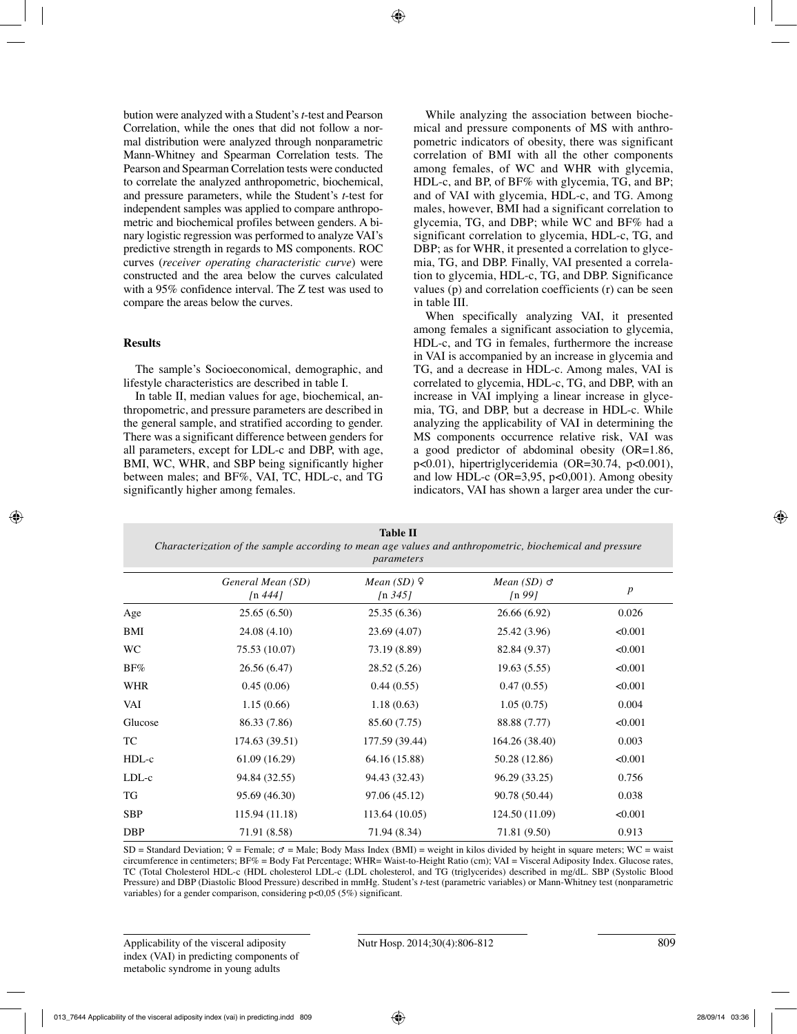bution were analyzed with a Student's *t*-test and Pearson Correlation, while the ones that did not follow a normal distribution were analyzed through nonparametric Mann-Whitney and Spearman Correlation tests. The Pearson and Spearman Correlation tests were conducted to correlate the analyzed anthropometric, biochemical, and pressure parameters, while the Student's *t*-test for independent samples was applied to compare anthropometric and biochemical profiles between genders. A binary logistic regression was performed to analyze VAI's predictive strength in regards to MS components. ROC curves (*receiver operating characteristic curve*) were constructed and the area below the curves calculated with a 95% confidence interval. The Z test was used to compare the areas below the curves.

# **Results**

The sample's Socioeconomical, demographic, and lifestyle characteristics are described in table I.

In table II, median values for age, biochemical, anthropometric, and pressure parameters are described in the general sample, and stratified according to gender. There was a significant difference between genders for all parameters, except for LDL-c and DBP, with age, BMI, WC, WHR, and SBP being significantly higher between males; and BF%, VAI, TC, HDL-c, and TG significantly higher among females.

While analyzing the association between biochemical and pressure components of MS with anthropometric indicators of obesity, there was significant correlation of BMI with all the other components among females, of WC and WHR with glycemia, HDL-c, and BP, of BF% with glycemia, TG, and BP; and of VAI with glycemia, HDL-c, and TG. Among males, however, BMI had a significant correlation to glycemia, TG, and DBP; while WC and BF% had a significant correlation to glycemia, HDL-c, TG, and DBP; as for WHR, it presented a correlation to glycemia, TG, and DBP. Finally, VAI presented a correlation to glycemia, HDL-c, TG, and DBP. Significance values (p) and correlation coefficients (r) can be seen in table III.

When specifically analyzing VAI, it presented among females a significant association to glycemia, HDL-c, and TG in females, furthermore the increase in VAI is accompanied by an increase in glycemia and TG, and a decrease in HDL-c. Among males, VAI is correlated to glycemia, HDL-c, TG, and DBP, with an increase in VAI implying a linear increase in glycemia, TG, and DBP, but a decrease in HDL-c. While analyzing the applicability of VAI in determining the MS components occurrence relative risk, VAI was a good predictor of abdominal obesity (OR=1.86, p<0.01), hipertriglyceridemia (OR=30.74, p<0.001), and low HDL-c ( $OR=3,95, p<0,001$ ). Among obesity indicators, VAI has shown a larger area under the cur-

| <b>Table II</b><br>Characterization of the sample according to mean age values and anthropometric, biochemical and pressure<br>parameters |                                |                                     |                                                  |                  |  |  |  |
|-------------------------------------------------------------------------------------------------------------------------------------------|--------------------------------|-------------------------------------|--------------------------------------------------|------------------|--|--|--|
|                                                                                                                                           | General Mean (SD)<br>$\ln 444$ | Mean $(SD)$ $\varphi$<br>$\ln 3451$ | Mean $(SD)$ $\sigma$<br>$\sqrt{n}$ 99 $\sqrt{l}$ | $\boldsymbol{p}$ |  |  |  |
| Age                                                                                                                                       | 25.65(6.50)                    | 25.35(6.36)                         | 26.66 (6.92)                                     | 0.026            |  |  |  |
| BMI                                                                                                                                       | 24.08 (4.10)                   | 23.69(4.07)                         | 25.42 (3.96)                                     | < 0.001          |  |  |  |
| WC                                                                                                                                        | 75.53 (10.07)                  | 73.19 (8.89)                        | 82.84 (9.37)                                     | < 0.001          |  |  |  |
| $BF\%$                                                                                                                                    | 26.56 (6.47)                   | 28.52 (5.26)                        | 19.63(5.55)                                      | < 0.001          |  |  |  |
| <b>WHR</b>                                                                                                                                | 0.45(0.06)                     | 0.44(0.55)                          | 0.47(0.55)                                       | < 0.001          |  |  |  |
| VAI                                                                                                                                       | 1.15(0.66)                     | 1.18(0.63)                          | 1.05(0.75)                                       | 0.004            |  |  |  |
| Glucose                                                                                                                                   | 86.33 (7.86)                   | 85.60 (7.75)                        | 88.88 (7.77)                                     | < 0.001          |  |  |  |
| TC                                                                                                                                        | 174.63 (39.51)                 | 177.59 (39.44)                      | 164.26 (38.40)                                   | 0.003            |  |  |  |
| HDL-c                                                                                                                                     | 61.09 (16.29)                  | 64.16 (15.88)                       | 50.28 (12.86)                                    | < 0.001          |  |  |  |
| LDL-c                                                                                                                                     | 94.84 (32.55)                  | 94.43 (32.43)                       | 96.29 (33.25)                                    | 0.756            |  |  |  |
| TG                                                                                                                                        | 95.69 (46.30)                  | 97.06 (45.12)                       | 90.78 (50.44)                                    | 0.038            |  |  |  |
| <b>SBP</b>                                                                                                                                | 115.94 (11.18)                 | 113.64 (10.05)                      | 124.50 (11.09)                                   | < 0.001          |  |  |  |
| <b>DBP</b>                                                                                                                                | 71.91 (8.58)                   | 71.94 (8.34)                        | 71.81 (9.50)                                     | 0.913            |  |  |  |

SD = Standard Deviation;  $\varphi$  = Female;  $\sigma$  = Male; Body Mass Index (BMI) = weight in kilos divided by height in square meters; WC = waist circumference in centimeters; BF% = Body Fat Percentage; WHR= Waist-to-Height Ratio (cm); VAI = Visceral Adiposity Index. Glucose rates, TC (Total Cholesterol HDL-c (HDL cholesterol LDL-c (LDL cholesterol, and TG (triglycerides) described in mg/dL. SBP (Systolic Blood Pressure) and DBP (Diastolic Blood Pressure) described in mmHg. Student's *t*-test (parametric variables) or Mann-Whitney test (nonparametric variables) for a gender comparison, considering p<0,05 (5%) significant.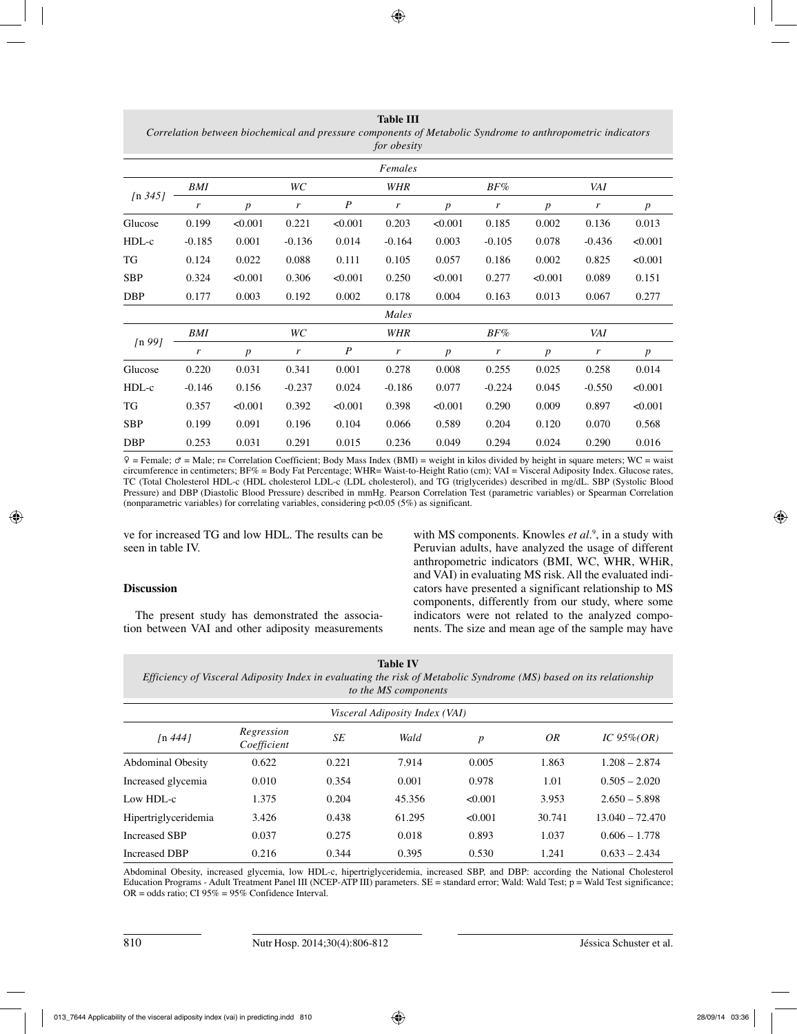*Correlation between biochemical and pressure components of Metabolic Syndrome to anthropometric indicators for obesity Females [*n *345] BMI WC WHR BF% VAI r p r P r p r p r p* Glucose 0.199 <0.001 0.221 <0.001 0.203 <0.001 0.185 0.002 0.136 0.013 HDL-c -0.185 0.001 -0.136 0.014 -0.164 0.003 -0.105 0.078 -0.436 <0.001 TG 0.124 0.022 0.088 0.111 0.105 0.057 0.186 0.002 0.825 <0.001 SBP 0.324 <0.001 0.306 <0.001 0.250 <0.001 0.277 <0.001 0.089 0.151 DBP 0.177 0.003 0.192 0.002 0.178 0.004 0.163 0.013 0.067 0.277 *Males [*n *99] BMI WC WHR BF% VAI r p r P r p r p r p* Glucose 0.220 0.031 0.341 0.001 0.278 0.008 0.255 0.025 0.258 0.014 HDL-c -0.146 0.156 -0.237 0.024 -0.186 0.077 -0.224 0.045 -0.550 <0.001 TG 0.357 <0.001 0.392 <0.001 0.398 <0.001 0.290 0.009 0.897 <0.001 SBP 0.199 0.091 0.196 0.104 0.066 0.589 0.204 0.120 0.070 0.568 DBP 0.253 0.031 0.291 0.015 0.236 0.049 0.294 0.024 0.290 0.016

**Table III**

 $\hat{P}$  = Female;  $\sigma$  = Male; r= Correlation Coefficient; Body Mass Index (BMI) = weight in kilos divided by height in square meters; WC = waist circumference in centimeters; BF% = Body Fat Percentage; WHR= Waist-to-Height Ratio (cm); VAI = Visceral Adiposity Index*.* Glucose rates, TC (Total Cholesterol HDL-c (HDL cholesterol LDL-c (LDL cholesterol), and TG (triglycerides) described in mg/dL. SBP (Systolic Blood Pressure) and DBP (Diastolic Blood Pressure) described in mmHg. Pearson Correlation Test (parametric variables) or Spearman Correlation (nonparametric variables) for correlating variables, considering  $p<0.05$  (5%) as significant.

ve for increased TG and low HDL. The results can be seen in table IV.

## **Discussion**

The present study has demonstrated the association between VAI and other adiposity measurements

with MS components. Knowles *et al.*<sup>9</sup>, in a study with Peruvian adults, have analyzed the usage of different anthropometric indicators (BMI, WC, WHR, WHiR, and VAI) in evaluating MS risk. All the evaluated indicators have presented a significant relationship to MS components, differently from our study, where some indicators were not related to the analyzed components. The size and mean age of the sample may have

| Table IV                                                                                                           |
|--------------------------------------------------------------------------------------------------------------------|
| Efficiency of Visceral Adiposity Index in evaluating the risk of Metabolic Syndrome (MS) based on its relationship |
| to the MS components                                                                                               |

| Visceral Adiposity Index (VAI) |                           |       |        |                  |        |                   |  |  |
|--------------------------------|---------------------------|-------|--------|------------------|--------|-------------------|--|--|
| $\ln 4441$                     | Regression<br>Coefficient | SE    | Wald   | $\boldsymbol{p}$ | 0R     | IC $95\%$ (OR)    |  |  |
| <b>Abdominal Obesity</b>       | 0.622                     | 0.221 | 7.914  | 0.005            | 1.863  | $1.208 - 2.874$   |  |  |
| Increased glycemia             | 0.010                     | 0.354 | 0.001  | 0.978            | 1.01   | $0.505 - 2.020$   |  |  |
| Low HDL-c                      | 1.375                     | 0.204 | 45.356 | < 0.001          | 3.953  | $2.650 - 5.898$   |  |  |
| Hipertriglyceridemia           | 3.426                     | 0.438 | 61.295 | < 0.001          | 30.741 | $13.040 - 72.470$ |  |  |
| <b>Increased SBP</b>           | 0.037                     | 0.275 | 0.018  | 0.893            | 1.037  | $0.606 - 1.778$   |  |  |
| Increased DBP                  | 0.216                     | 0.344 | 0.395  | 0.530            | 1.241  | $0.633 - 2.434$   |  |  |

Abdominal Obesity, increased glycemia, low HDL-c, hipertriglyceridemia, increased SBP, and DBP: according the National Cholesterol Education Programs - Adult Treatment Panel III (NCEP-ATP III) parameters. SE = standard error; Wald: Wald Test; p = Wald Test significance;  $OR = odds ratio$ ; CI 95% = 95% Confidence Interval.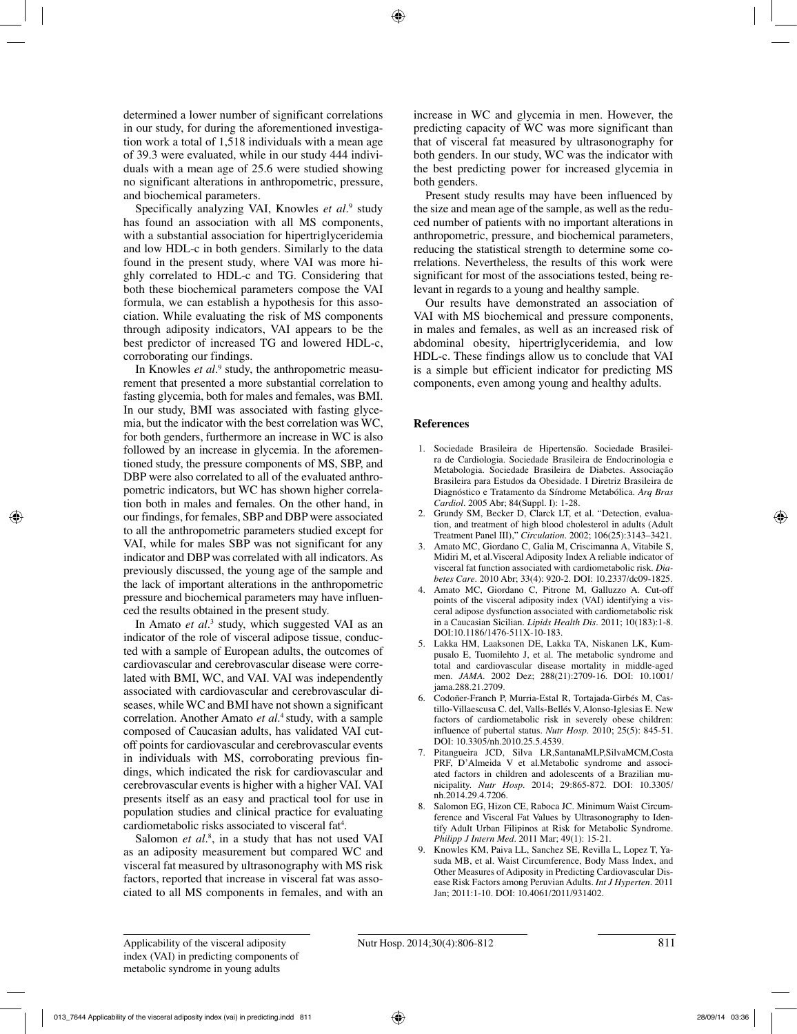determined a lower number of significant correlations in our study, for during the aforementioned investigation work a total of 1,518 individuals with a mean age of 39.3 were evaluated, while in our study 444 individuals with a mean age of 25.6 were studied showing no significant alterations in anthropometric, pressure, and biochemical parameters.

Specifically analyzing VAI, Knowles *et al.*<sup>9</sup> study has found an association with all MS components, with a substantial association for hipertriglyceridemia and low HDL-c in both genders. Similarly to the data found in the present study, where VAI was more highly correlated to HDL-c and TG. Considering that both these biochemical parameters compose the VAI formula, we can establish a hypothesis for this association. While evaluating the risk of MS components through adiposity indicators, VAI appears to be the best predictor of increased TG and lowered HDL-c, corroborating our findings.

In Knowles *et al.*<sup>9</sup> study, the anthropometric measurement that presented a more substantial correlation to fasting glycemia, both for males and females, was BMI. In our study, BMI was associated with fasting glycemia, but the indicator with the best correlation was WC, for both genders, furthermore an increase in WC is also followed by an increase in glycemia. In the aforementioned study, the pressure components of MS, SBP, and DBP were also correlated to all of the evaluated anthropometric indicators, but WC has shown higher correlation both in males and females. On the other hand, in our findings, for females, SBP and DBP were associated to all the anthropometric parameters studied except for VAI, while for males SBP was not significant for any indicator and DBP was correlated with all indicators. As previously discussed, the young age of the sample and the lack of important alterations in the anthropometric pressure and biochemical parameters may have influenced the results obtained in the present study.

In Amato *et al.*<sup>3</sup> study, which suggested VAI as an indicator of the role of visceral adipose tissue, conducted with a sample of European adults, the outcomes of cardiovascular and cerebrovascular disease were correlated with BMI, WC, and VAI. VAI was independently associated with cardiovascular and cerebrovascular diseases, while WC and BMI have not shown a significant correlation. Another Amato *et al*. 4 study, with a sample composed of Caucasian adults, has validated VAI cutoff points for cardiovascular and cerebrovascular events in individuals with MS, corroborating previous findings, which indicated the risk for cardiovascular and cerebrovascular events is higher with a higher VAI. VAI presents itself as an easy and practical tool for use in population studies and clinical practice for evaluating cardiometabolic risks associated to visceral fat<sup>4</sup>.

Salomon *et al.*<sup>8</sup>, in a study that has not used VAI as an adiposity measurement but compared WC and visceral fat measured by ultrasonography with MS risk factors, reported that increase in visceral fat was associated to all MS components in females, and with an

increase in WC and glycemia in men. However, the predicting capacity of WC was more significant than that of visceral fat measured by ultrasonography for both genders. In our study, WC was the indicator with the best predicting power for increased glycemia in both genders.

Present study results may have been influenced by the size and mean age of the sample, as well as the reduced number of patients with no important alterations in anthropometric, pressure, and biochemical parameters, reducing the statistical strength to determine some correlations. Nevertheless, the results of this work were significant for most of the associations tested, being relevant in regards to a young and healthy sample.

Our results have demonstrated an association of VAI with MS biochemical and pressure components, in males and females, as well as an increased risk of abdominal obesity, hipertriglyceridemia, and low HDL-c. These findings allow us to conclude that VAI is a simple but efficient indicator for predicting MS components, even among young and healthy adults.

## **References**

- 1. Sociedade Brasileira de Hipertensão. Sociedade Brasileira de Cardiologia. Sociedade Brasileira de Endocrinologia e Metabologia. Sociedade Brasileira de Diabetes. Associação Brasileira para Estudos da Obesidade. I Diretriz Brasileira de Diagnóstico e Tratamento da Síndrome Metabólica. *Arq Bras Cardiol.* 2005 Abr; 84(Suppl. I): 1-28.
- 2. Grundy SM, Becker D, Clarck LT, et al. "Detection, evaluation, and treatment of high blood cholesterol in adults (Adult Treatment Panel III)," *Circulation.* 2002; 106(25):3143–3421.
- 3. Amato MC, Giordano C, Galia M, Criscimanna A, Vitabile S, Midiri M, et al.Visceral Adiposity Index A reliable indicator of visceral fat function associated with cardiometabolic risk. *Diabetes Care.* 2010 Abr; 33(4): 920-2. DOI: 10.2337/dc09-1825.
- 4. Amato MC, Giordano C, Pitrone M, Galluzzo A. Cut-off points of the visceral adiposity index (VAI) identifying a visceral adipose dysfunction associated with cardiometabolic risk in a Caucasian Sicilian. *Lipids Health Dis.* 2011; 10(183):1-8. DOI:10.1186/1476-511X-10-183.
- 5. Lakka HM, Laaksonen DE, Lakka TA, Niskanen LK, Kumpusalo E, Tuomilehto J, et al. The metabolic syndrome and total and cardiovascular disease mortality in middle-aged men. *JAMA.* 2002 Dez; 288(21):2709-16. DOI: 10.1001/ jama.288.21.2709.
- 6. Codoñer-Franch P, Murria-Estal R, Tortajada-Girbés M, Castillo-Villaescusa C. del, Valls-Bellés V, Alonso-Iglesias E. New factors of cardiometabolic risk in severely obese children: influence of pubertal status. *Nutr Hosp.* 2010; 25(5): 845-51. DOI: 10.3305/nh.2010.25.5.4539.
- 7. Pitangueira JCD, Silva LR,SantanaMLP,SilvaMCM,Costa PRF, D'Almeida V et al.Metabolic syndrome and associated factors in children and adolescents of a Brazilian municipality. *Nutr Hosp.* 2014; 29:865-872. DOI: 10.3305/ nh.2014.29.4.7206.
- Salomon EG, Hizon CE, Raboca JC. Minimum Waist Circumference and Visceral Fat Values by Ultrasonography to Identify Adult Urban Filipinos at Risk for Metabolic Syndrome. *Philipp J Intern Med.* 2011 Mar; 49(1): 15-21.
- 9. Knowles KM, Paiva LL, Sanchez SE, Revilla L, Lopez T, Yasuda MB, et al. Waist Circumference, Body Mass Index, and Other Measures of Adiposity in Predicting Cardiovascular Disease Risk Factors among Peruvian Adults. *Int J Hyperten.* 2011 Jan; 2011:1-10. DOI: 10.4061/2011/931402.